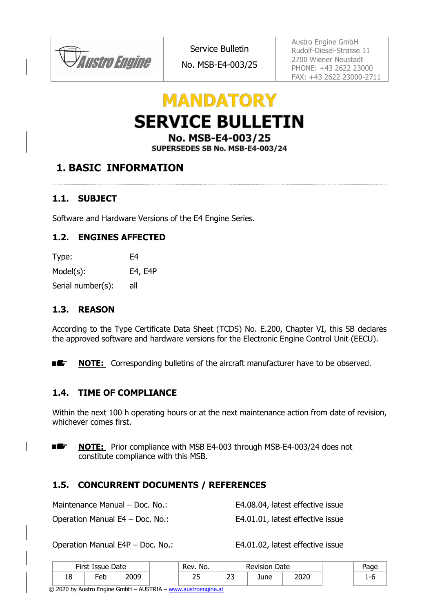*Faustro Engine* 

No. MSB-E4-003/25

Austro Engine GmbH Rudolf-Diesel-Strasse 11 2700 Wiener Neustadt PHONE: +43 2622 23000 FAX: +43 2622 23000-2711

# **MANDATORY**

# **SERVICE BULLETIN**

# No. MSB-E4-003/25

SUPERSEDES SB No. MSB-E4-003/24

# **1. BASIC INFORMATION**

### **1.1. SUBJECT**

Software and Hardware Versions of the E4 Engine Series.

### **1.2. ENGINES AFFECTED**

| Type:             | F4      |
|-------------------|---------|
| $Model(s)$ :      | E4, E4P |
| Serial number(s): | all     |

### **1.3. REASON**

According to the Type Certificate Data Sheet (TCDS) No. E.200, Chapter VI, this SB declares the approved software and hardware versions for the Electronic Engine Control Unit (EECU).

**NOTE:** Corresponding bulletins of the aircraft manufacturer have to be observed. ■第一

### <span id="page-0-0"></span>**1.4. TIME OF COMPLIANCE**

Within the next 100 h operating hours or at the next maintenance action from date of revision, whichever comes first.

■鑑一 **NOTE:** Prior compliance with MSB E4-003 through MSB-E4-003/24 does not constitute compliance with this MSB.

### **1.5. CONCURRENT DOCUMENTS / REFERENCES**

| Maintenance Manual - Doc. No.: | E4.08.04, latest effective issue |
|--------------------------------|----------------------------------|
|                                |                                  |

Operation Manual E4 – Doc. No.: E4.01.01, latest effective issue

Operation Manual E4P – Doc. No.: E4.01.02, latest effective issue

|    | First Issue Date |      | Rev. No. |          | <b>Revision Date</b> |      |  | aae     |
|----|------------------|------|----------|----------|----------------------|------|--|---------|
| 18 | Feb              | 2009 | ח ר      | --<br>بے | June                 | 2020 |  | -r<br>- |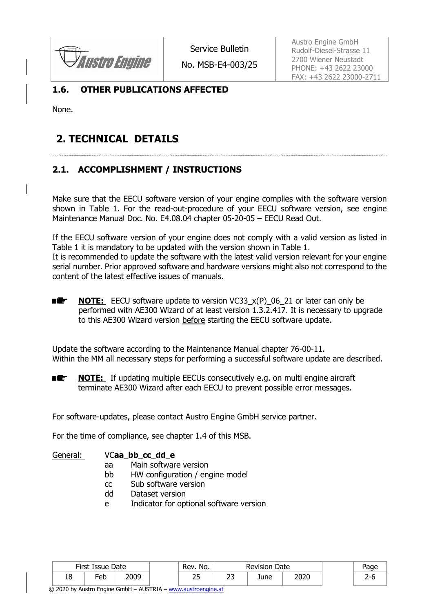**Austro Engine** 

No. MSB-E4-003/25

Austro Engine GmbH Rudolf-Diesel-Strasse 11 2700 Wiener Neustadt PHONE: +43 2622 23000 FAX: +43 2622 23000-2711

# **1.6. OTHER PUBLICATIONS AFFECTED**

None.

# **2. TECHNICAL DETAILS**

<span id="page-1-0"></span>

# **2.1. ACCOMPLISHMENT / INSTRUCTIONS**

Make sure that the EECU software version of your engine complies with the software version shown in Table 1. For the read-out-procedure of your EECU software version, see engine Maintenance Manual Doc. No. E4.08.04 chapter 05-20-05 – EECU Read Out.

If the EECU software version of your engine does not comply with a valid version as listed in Table 1 it is mandatory to be updated with the version shown in Table 1. It is recommended to update the software with the latest valid version relevant for your engine serial number. Prior approved software and hardware versions might also not correspond to the content of the latest effective issues of manuals.

**NOTE:** EECU software update to version VC33\_x(P)\_06\_21 or later can only be 國經一 performed with AE300 Wizard of at least version 1.3.2.417. It is necessary to upgrade to this AE300 Wizard version before starting the EECU software update.

Update the software according to the Maintenance Manual chapter 76-00-11. Within the MM all necessary steps for performing a successful software update are described.

■维 **NOTE:** If updating multiple EECUs consecutively e.g. on multi engine aircraft terminate AE300 Wizard after each EECU to prevent possible error messages.

For software-updates, please contact Austro Engine GmbH service partner.

For the time of compliance, see chapter 1.4 of this MSB.

#### General: VC**aa**\_**bb**\_**cc**\_**dd**\_**e**

- aa Main software version
- bb HW configuration / engine model
- cc Sub software version
- dd Dataset version
- e Indicator for optional software version

|         | First Issue Date<br>Rev. No.<br>Date<br><b>Revision</b> |      |  |                    |                |      |      |  |
|---------|---------------------------------------------------------|------|--|--------------------|----------------|------|------|--|
| Ω<br>⊥∪ | -eb                                                     | 2009 |  | $\mathbf{r}$<br>بے | --<br>بے<br>__ | June | 2020 |  |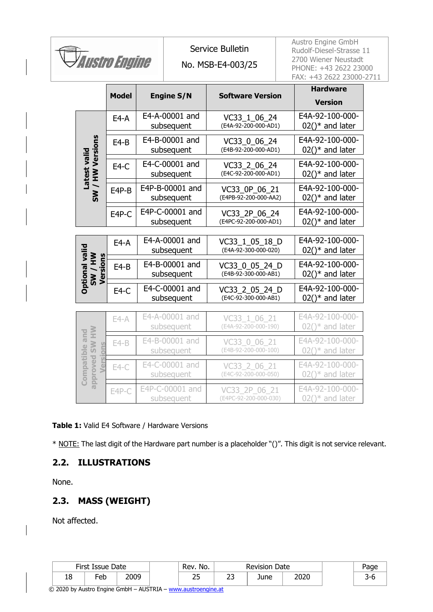

No. MSB-E4-003/25

Austro Engine GmbH Rudolf-Diesel-Strasse 11 2700 Wiener Neustadt PHONE: +43 2622 23000 FAX: +43 2622 23000-2711

|                                                          | <b>Model</b> | <b>Engine S/N</b>             | <b>Software Version</b>                | <b>Hardware</b>                       |  |
|----------------------------------------------------------|--------------|-------------------------------|----------------------------------------|---------------------------------------|--|
|                                                          |              |                               |                                        | <b>Version</b>                        |  |
|                                                          | $E4-A$       | E4-A-00001 and<br>subsequent  | VC33 1 06 24<br>(E4A-92-200-000-AD1)   | E4A-92-100-000-<br>$02()$ * and later |  |
|                                                          | $E4-B$       | E4-B-00001 and<br>subsequent  | VC33_0_06 24<br>(E4B-92-200-000-AD1)   | E4A-92-100-000-<br>$02()$ * and later |  |
| SW / HW Versions<br>Latest valid                         | $E4-C$       | E4-C-00001 and<br>subsequent  | VC33 2 06 24<br>(E4C-92-200-000-AD1)   | E4A-92-100-000-<br>$02()$ * and later |  |
|                                                          | E4P-B        | E4P-B-00001 and<br>subsequent | VC33 0P 06 21<br>(E4PB-92-200-000-AA2) | E4A-92-100-000-<br>$02()^*$ and later |  |
|                                                          | E4P-C        | E4P-C-00001 and<br>subsequent | VC33 2P 06 24<br>(E4PC-92-200-000-AD1) | E4A-92-100-000-<br>$02()^*$ and later |  |
|                                                          | $E4-A$       | E4-A-00001 and<br>subsequent  | VC33 1 05 18 D<br>(E4A-92-300-000-020) | E4A-92-100-000-<br>$02()$ * and later |  |
| <b>Optional valid</b><br>SW / HW<br>Versions             | $E4-B$       | E4-B-00001 and<br>subsequent  | VC33 0 05 24 D<br>(E4B-92-300-000-AB1) | E4A-92-100-000-<br>$02()$ * and later |  |
|                                                          | $E4-C$       | E4-C-00001 and<br>subsequent  | VC33 2 05 24 D<br>(E4C-92-300-000-AB1) | E4A-92-100-000-<br>$02()$ * and later |  |
|                                                          | $E4-A$       | E4-A-00001 and<br>subsequent  | VC33_1_06_21<br>(E4A-92-200-000-190)   | E4A-92-100-000-<br>$02()$ * and later |  |
| approved SW HW<br><b>Compatible and</b><br>$\frac{5}{2}$ | $E4-B$       | E4-B-00001 and<br>subsequent  | VC33 0 06 21<br>(E4B-92-200-000-100)   | E4A-92-100-000-<br>$02()$ * and later |  |
| Versid                                                   | $E4-C$       | E4-C-00001 and<br>subsequent  | VC33 2 06 21<br>(E4C-92-200-000-050)   | E4A-92-100-000-<br>$02()$ * and later |  |
|                                                          | $E4P-C$      | E4P-C-00001 and<br>subsequent | VC33 2P 06 21<br>(E4PC-92-200-000-030) | E4A-92-100-000-<br>$02()$ * and later |  |

**Table 1:** Valid E4 Software / Hardware Versions

\* NOTE: The last digit of the Hardware part number is a placeholder "()". This digit is not service relevant.

### **2.2. ILLUSTRATIONS**

None.

# **2.3. MASS (WEIGHT)**

Not affected.

| First Issue Date |     | No.<br>Rev. | <b>Date</b><br><b>Revision</b> |         |      | Page |  |
|------------------|-----|-------------|--------------------------------|---------|------|------|--|
| $\circ$<br>⊥∪    | ⊦eb | nna         | ¬ ⊢<br>ت                       | --<br>ت | June | 2020 |  |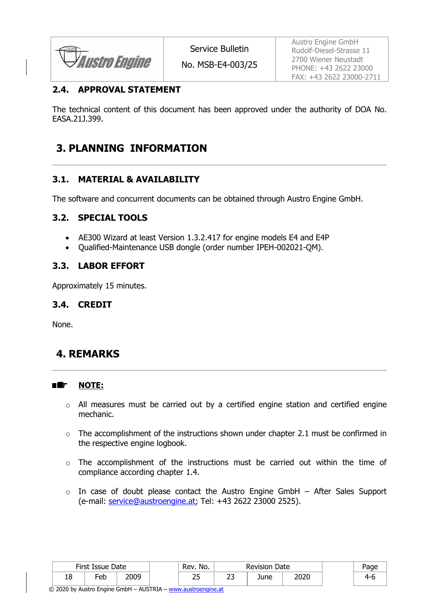**Austro Engine** 

No. MSB-E4-003/25

Austro Engine GmbH Rudolf-Diesel-Strasse 11 2700 Wiener Neustadt PHONE: +43 2622 23000 FAX: +43 2622 23000-2711

## **2.4. APPROVAL STATEMENT**

The technical content of this document has been approved under the authority of DOA No. EASA.21J.399.

# **3. PLANNING INFORMATION**

#### **3.1. MATERIAL & AVAILABILITY**

The software and concurrent documents can be obtained through Austro Engine GmbH.

#### **3.2. SPECIAL TOOLS**

- AE300 Wizard at least Version 1.3.2.417 for engine models E4 and E4P
- Qualified-Maintenance USB dongle (order number IPEH-002021-QM).

#### **3.3. LABOR EFFORT**

Approximately 15 minutes.

#### **3.4. CREDIT**

None.

# **4. REMARKS**

#### ■鑑 **NOTE:**

- o All measures must be carried out by a certified engine station and certified engine mechanic.
- $\circ$  The accomplishment of the instructions shown under chapter [2.1](#page-1-0) must be confirmed in the respective engine logbook.
- o The accomplishment of the instructions must be carried out within the time of compliance according chapter [1.4.](#page-0-0)
- $\circ$  In case of doubt please contact the Austro Engine GmbH After Sales Support (e-mail: [service@austroengine.at;](mailto:service@austroengine.at) Tel: +43 2622 23000 2525).

|    | First Issue Date |      | Rev. No.  |          | Date<br><b>Revision</b> |      |  |
|----|------------------|------|-----------|----------|-------------------------|------|--|
| 18 | -eb              | 2009 | חר<br>ر ے | ີ<br>ے ے | June                    | 2020 |  |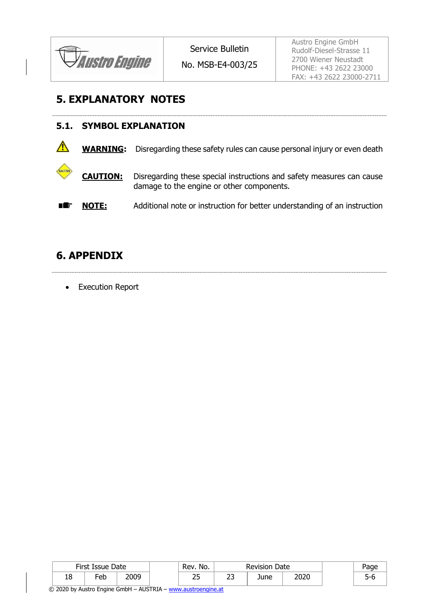

No. MSB-E4-003/25

Austro Engine GmbH Rudolf-Diesel-Strasse 11 2700 Wiener Neustadt PHONE: +43 2622 23000 FAX: +43 2622 23000-2711

# **5. EXPLANATORY NOTES**

| 5.1.         |                 | <b>SYMBOL EXPLANATION</b>                                                                                          |  |  |  |  |  |  |  |  |
|--------------|-----------------|--------------------------------------------------------------------------------------------------------------------|--|--|--|--|--|--|--|--|
| $\mathbb{A}$ |                 | <b>WARNING:</b> Disregarding these safety rules can cause personal injury or even death                            |  |  |  |  |  |  |  |  |
| CAUTION      | <b>CAUTION:</b> | Disregarding these special instructions and safety measures can cause<br>damage to the engine or other components. |  |  |  |  |  |  |  |  |
|              | <b>NOTE:</b>    | Additional note or instruction for better understanding of an instruction                                          |  |  |  |  |  |  |  |  |

# **6. APPENDIX**

• Execution Report

|                | First Issue Date        |      | Rev. No.           |         | <b>Revision Date</b> |      |  |
|----------------|-------------------------|------|--------------------|---------|----------------------|------|--|
| $\Omega$<br>⊥∪ | $\mathsf{E}\mathsf{eb}$ | 2009 | $\mathbf{r}$<br>بے | ີ<br>بے | June                 | 2020 |  |